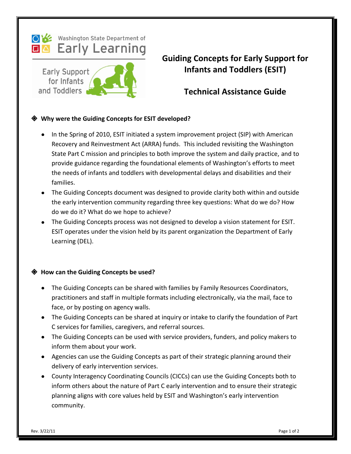

**Early Support** for Infants and Toddlers



# **Technical Assistance Guide**

### **Why were the Guiding Concepts for ESIT developed?**

- In the Spring of 2010, ESIT initiated a system improvement project (SIP) with American Recovery and Reinvestment Act (ARRA) funds. This included revisiting the Washington State Part C mission and principles to both improve the system and daily practice, and to provide guidance regarding the foundational elements of Washington's efforts to meet the needs of infants and toddlers with developmental delays and disabilities and their families.
- The Guiding Concepts document was designed to provide clarity both within and outside the early intervention community regarding three key questions: What do we do? How do we do it? What do we hope to achieve?
- The Guiding Concepts process was not designed to develop a vision statement for ESIT. ESIT operates under the vision held by its parent organization the Department of Early Learning (DEL).

#### **How can the Guiding Concepts be used?**

- The Guiding Concepts can be shared with families by Family Resources Coordinators, practitioners and staff in multiple formats including electronically, via the mail, face to face, or by posting on agency walls.
- The Guiding Concepts can be shared at inquiry or intake to clarify the foundation of Part C services for families, caregivers, and referral sources.
- The Guiding Concepts can be used with service providers, funders, and policy makers to inform them about your work.
- Agencies can use the Guiding Concepts as part of their strategic planning around their delivery of early intervention services.
- County Interagency Coordinating Councils (CICCs) can use the Guiding Concepts both to inform others about the nature of Part C early intervention and to ensure their strategic planning aligns with core values held by ESIT and Washington's early intervention community.